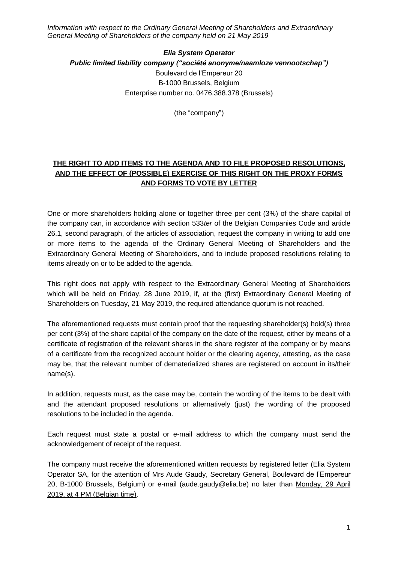*Information with respect to the Ordinary General Meeting of Shareholders and Extraordinary General Meeting of Shareholders of the company held on 21 May 2019*

## *Elia System Operator Public limited liability company ("société anonyme/naamloze vennootschap")* Boulevard de l'Empereur 20 B-1000 Brussels, Belgium Enterprise number no. 0476.388.378 (Brussels)

(the "company")

## **THE RIGHT TO ADD ITEMS TO THE AGENDA AND TO FILE PROPOSED RESOLUTIONS, AND THE EFFECT OF (POSSIBLE) EXERCISE OF THIS RIGHT ON THE PROXY FORMS AND FORMS TO VOTE BY LETTER**

One or more shareholders holding alone or together three per cent (3%) of the share capital of the company can, in accordance with section 533*ter* of the Belgian Companies Code and article 26.1, second paragraph, of the articles of association, request the company in writing to add one or more items to the agenda of the Ordinary General Meeting of Shareholders and the Extraordinary General Meeting of Shareholders, and to include proposed resolutions relating to items already on or to be added to the agenda.

This right does not apply with respect to the Extraordinary General Meeting of Shareholders which will be held on Friday, 28 June 2019, if, at the (first) Extraordinary General Meeting of Shareholders on Tuesday, 21 May 2019, the required attendance quorum is not reached.

The aforementioned requests must contain proof that the requesting shareholder(s) hold(s) three per cent (3%) of the share capital of the company on the date of the request, either by means of a certificate of registration of the relevant shares in the share register of the company or by means of a certificate from the recognized account holder or the clearing agency, attesting, as the case may be, that the relevant number of dematerialized shares are registered on account in its/their name(s).

In addition, requests must, as the case may be, contain the wording of the items to be dealt with and the attendant proposed resolutions or alternatively (just) the wording of the proposed resolutions to be included in the agenda.

Each request must state a postal or e-mail address to which the company must send the acknowledgement of receipt of the request.

The company must receive the aforementioned written requests by registered letter (Elia System Operator SA, for the attention of Mrs Aude Gaudy, Secretary General, Boulevard de l'Empereur 20, B-1000 Brussels, Belgium) or e-mail (aude.gaudy@elia.be) no later than Monday, 29 April 2019, at 4 PM (Belgian time).